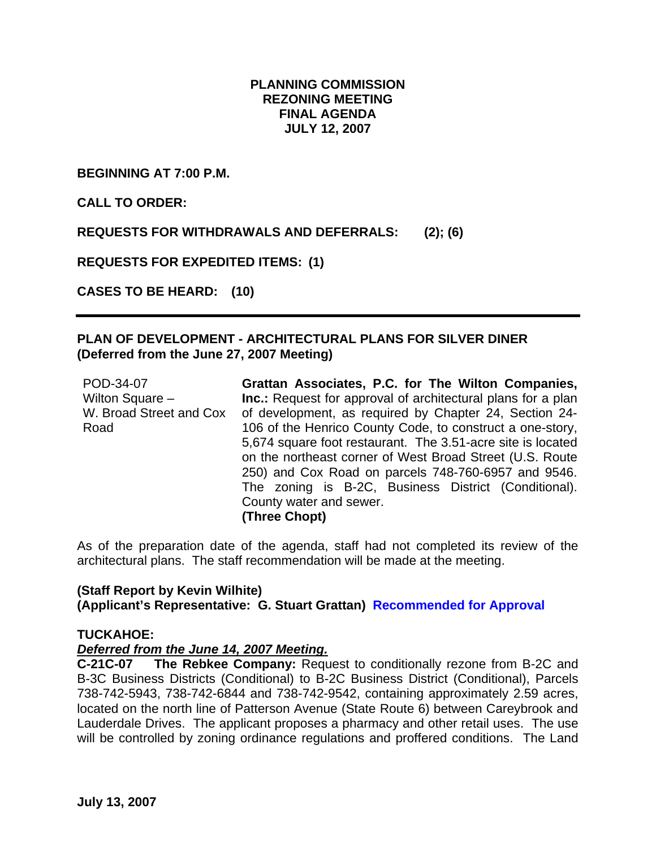# **PLANNING COMMISSION REZONING MEETING FINAL AGENDA JULY 12, 2007**

**BEGINNING AT 7:00 P.M.** 

**CALL TO ORDER:** 

**REQUESTS FOR WITHDRAWALS AND DEFERRALS: (2); (6)** 

**REQUESTS FOR EXPEDITED ITEMS: (1)** 

**CASES TO BE HEARD: (10)** 

# **PLAN OF DEVELOPMENT - ARCHITECTURAL PLANS FOR SILVER DINER (Deferred from the June 27, 2007 Meeting)**

POD-34-07 Wilton Square – W. Broad Street and Cox Road

**Grattan Associates, P.C. for The Wilton Companies, Inc.:** Request for approval of architectural plans for a plan of development, as required by Chapter 24, Section 24- 106 of the Henrico County Code, to construct a one-story, 5,674 square foot restaurant. The 3.51-acre site is located on the northeast corner of West Broad Street (U.S. Route 250) and Cox Road on parcels 748-760-6957 and 9546. The zoning is B-2C, Business District (Conditional). County water and sewer. **(Three Chopt)** 

As of the preparation date of the agenda, staff had not completed its review of the architectural plans. The staff recommendation will be made at the meeting.

# **(Staff Report by Kevin Wilhite) (Applicant's Representative: G. Stuart Grattan) Recommended for Approval**

# **TUCKAHOE:**

# *Deferred from the June 14, 2007 Meeting.*

**C-21C-07 The Rebkee Company:** Request to conditionally rezone from B-2C and B-3C Business Districts (Conditional) to B-2C Business District (Conditional), Parcels 738-742-5943, 738-742-6844 and 738-742-9542, containing approximately 2.59 acres, located on the north line of Patterson Avenue (State Route 6) between Careybrook and Lauderdale Drives. The applicant proposes a pharmacy and other retail uses. The use will be controlled by zoning ordinance regulations and proffered conditions. The Land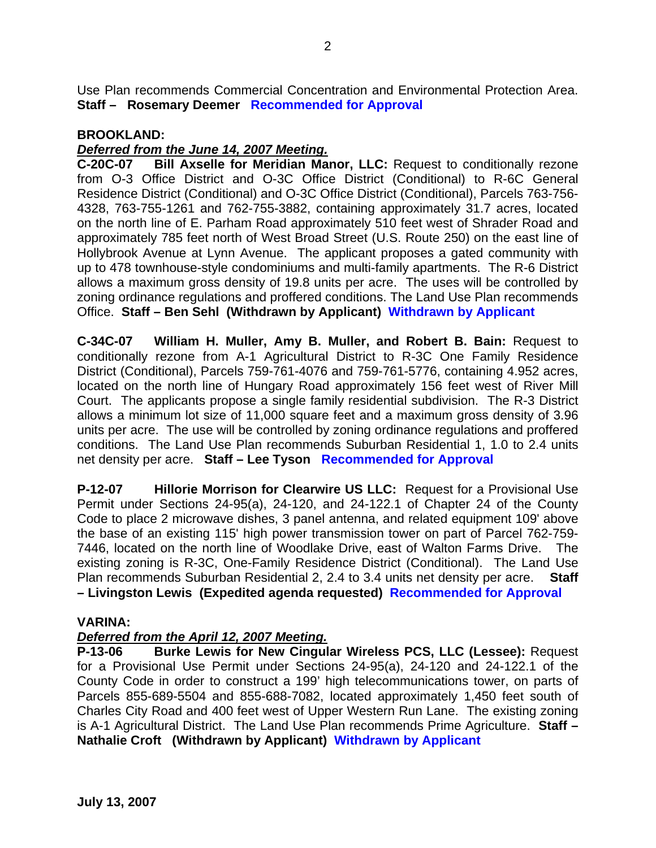Use Plan recommends Commercial Concentration and Environmental Protection Area. **Staff – Rosemary Deemer Recommended for Approval**

## **BROOKLAND:**

## *Deferred from the June 14, 2007 Meeting.*

**C-20C-07 Bill Axselle for Meridian Manor, LLC:** Request to conditionally rezone from O-3 Office District and O-3C Office District (Conditional) to R-6C General Residence District (Conditional) and O-3C Office District (Conditional), Parcels 763-756- 4328, 763-755-1261 and 762-755-3882, containing approximately 31.7 acres, located on the north line of E. Parham Road approximately 510 feet west of Shrader Road and approximately 785 feet north of West Broad Street (U.S. Route 250) on the east line of Hollybrook Avenue at Lynn Avenue. The applicant proposes a gated community with up to 478 townhouse-style condominiums and multi-family apartments. The R-6 District allows a maximum gross density of 19.8 units per acre. The uses will be controlled by zoning ordinance regulations and proffered conditions. The Land Use Plan recommends Office. **Staff – Ben Sehl (Withdrawn by Applicant) Withdrawn by Applicant**

**C-34C-07 William H. Muller, Amy B. Muller, and Robert B. Bain:** Request to conditionally rezone from A-1 Agricultural District to R-3C One Family Residence District (Conditional), Parcels 759-761-4076 and 759-761-5776, containing 4.952 acres, located on the north line of Hungary Road approximately 156 feet west of River Mill Court. The applicants propose a single family residential subdivision. The R-3 District allows a minimum lot size of 11,000 square feet and a maximum gross density of 3.96 units per acre. The use will be controlled by zoning ordinance regulations and proffered conditions. The Land Use Plan recommends Suburban Residential 1, 1.0 to 2.4 units net density per acre. **Staff – Lee Tyson Recommended for Approval**

**P-12-07 Hillorie Morrison for Clearwire US LLC:** Request for a Provisional Use Permit under Sections 24-95(a), 24-120, and 24-122.1 of Chapter 24 of the County Code to place 2 microwave dishes, 3 panel antenna, and related equipment 109' above the base of an existing 115' high power transmission tower on part of Parcel 762-759- 7446, located on the north line of Woodlake Drive, east of Walton Farms Drive. The existing zoning is R-3C, One-Family Residence District (Conditional). The Land Use Plan recommends Suburban Residential 2, 2.4 to 3.4 units net density per acre. **Staff – Livingston Lewis (Expedited agenda requested) Recommended for Approval**

### **VARINA:**

# *Deferred from the April 12, 2007 Meeting.*

**P-13-06 Burke Lewis for New Cingular Wireless PCS, LLC (Lessee):** Request for a Provisional Use Permit under Sections 24-95(a), 24-120 and 24-122.1 of the County Code in order to construct a 199' high telecommunications tower, on parts of Parcels 855-689-5504 and 855-688-7082, located approximately 1,450 feet south of Charles City Road and 400 feet west of Upper Western Run Lane. The existing zoning is A-1 Agricultural District. The Land Use Plan recommends Prime Agriculture. **Staff – Nathalie Croft (Withdrawn by Applicant) Withdrawn by Applicant**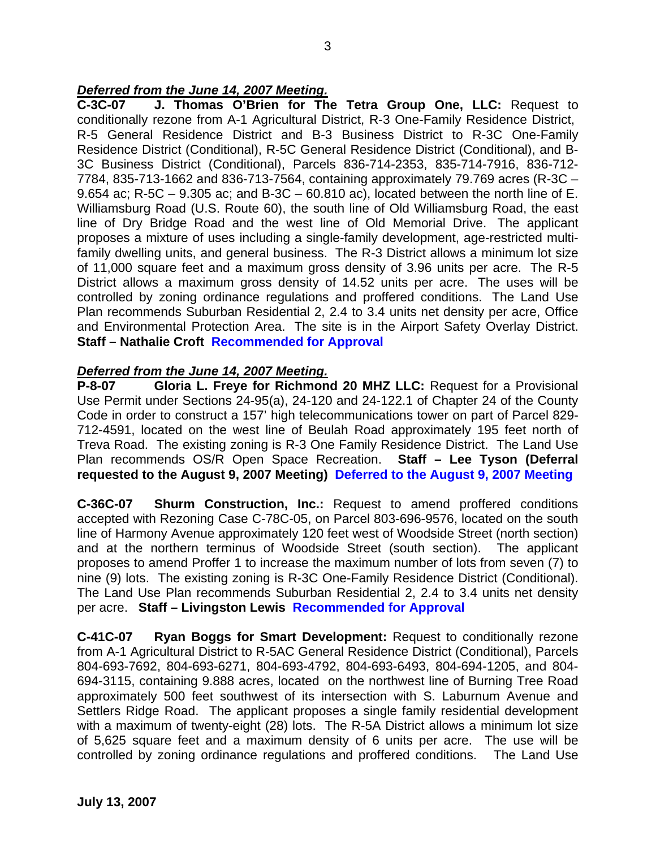# *Deferred from the June 14, 2007 Meeting.*

**C-3C-07 J. Thomas O'Brien for The Tetra Group One, LLC:** Request to conditionally rezone from A-1 Agricultural District, R-3 One-Family Residence District, R-5 General Residence District and B-3 Business District to R-3C One-Family Residence District (Conditional), R-5C General Residence District (Conditional), and B-3C Business District (Conditional), Parcels 836-714-2353, 835-714-7916, 836-712- 7784, 835-713-1662 and 836-713-7564, containing approximately 79.769 acres (R-3C – 9.654 ac; R-5C – 9.305 ac; and B-3C – 60.810 ac), located between the north line of E. Williamsburg Road (U.S. Route 60), the south line of Old Williamsburg Road, the east line of Dry Bridge Road and the west line of Old Memorial Drive. The applicant proposes a mixture of uses including a single-family development, age-restricted multifamily dwelling units, and general business. The R-3 District allows a minimum lot size of 11,000 square feet and a maximum gross density of 3.96 units per acre. The R-5 District allows a maximum gross density of 14.52 units per acre. The uses will be controlled by zoning ordinance regulations and proffered conditions. The Land Use Plan recommends Suburban Residential 2, 2.4 to 3.4 units net density per acre, Office and Environmental Protection Area. The site is in the Airport Safety Overlay District. **Staff – Nathalie Croft Recommended for Approval**

# *Deferred from the June 14, 2007 Meeting.*

**P-8-07 Gloria L. Freye for Richmond 20 MHZ LLC:** Request for a Provisional Use Permit under Sections 24-95(a), 24-120 and 24-122.1 of Chapter 24 of the County Code in order to construct a 157' high telecommunications tower on part of Parcel 829- 712-4591, located on the west line of Beulah Road approximately 195 feet north of Treva Road. The existing zoning is R-3 One Family Residence District. The Land Use Plan recommends OS/R Open Space Recreation. **Staff – Lee Tyson (Deferral requested to the August 9, 2007 Meeting) Deferred to the August 9, 2007 Meeting**

**C-36C-07 Shurm Construction, Inc.:** Request to amend proffered conditions accepted with Rezoning Case C-78C-05, on Parcel 803-696-9576, located on the south line of Harmony Avenue approximately 120 feet west of Woodside Street (north section) and at the northern terminus of Woodside Street (south section). The applicant proposes to amend Proffer 1 to increase the maximum number of lots from seven (7) to nine (9) lots. The existing zoning is R-3C One-Family Residence District (Conditional). The Land Use Plan recommends Suburban Residential 2, 2.4 to 3.4 units net density per acre. **Staff – Livingston Lewis Recommended for Approval**

**C-41C-07 Ryan Boggs for Smart Development:** Request to conditionally rezone from A-1 Agricultural District to R-5AC General Residence District (Conditional), Parcels 804-693-7692, 804-693-6271, 804-693-4792, 804-693-6493, 804-694-1205, and 804- 694-3115, containing 9.888 acres, located on the northwest line of Burning Tree Road approximately 500 feet southwest of its intersection with S. Laburnum Avenue and Settlers Ridge Road. The applicant proposes a single family residential development with a maximum of twenty-eight (28) lots. The R-5A District allows a minimum lot size of 5,625 square feet and a maximum density of 6 units per acre. The use will be controlled by zoning ordinance regulations and proffered conditions. The Land Use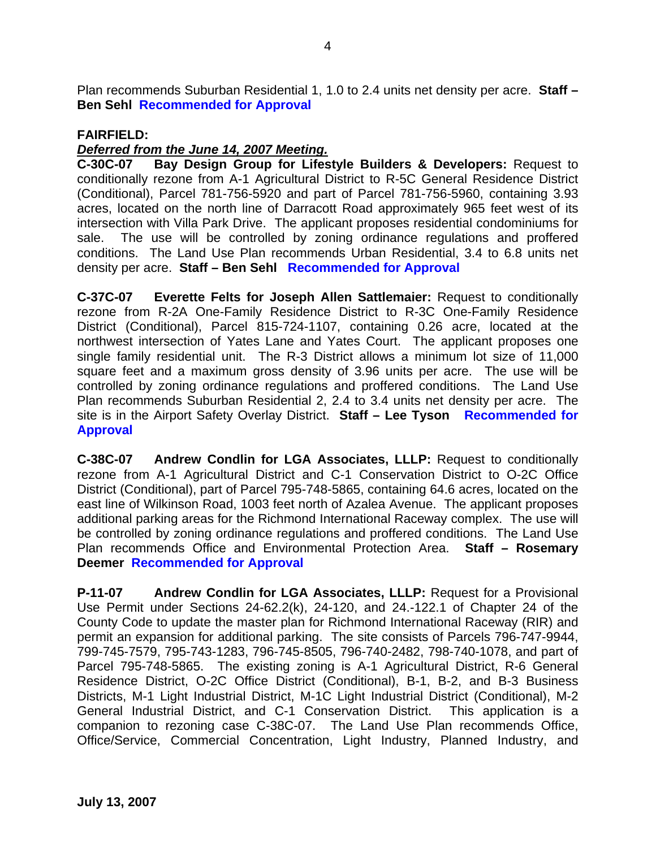Plan recommends Suburban Residential 1, 1.0 to 2.4 units net density per acre. **Staff – Ben Sehl Recommended for Approval**

## **FAIRFIELD:**

# *Deferred from the June 14, 2007 Meeting.*

**C-30C-07 Bay Design Group for Lifestyle Builders & Developers:** Request to conditionally rezone from A-1 Agricultural District to R-5C General Residence District (Conditional), Parcel 781-756-5920 and part of Parcel 781-756-5960, containing 3.93 acres, located on the north line of Darracott Road approximately 965 feet west of its intersection with Villa Park Drive. The applicant proposes residential condominiums for sale. The use will be controlled by zoning ordinance regulations and proffered conditions. The Land Use Plan recommends Urban Residential, 3.4 to 6.8 units net density per acre. **Staff – Ben Sehl Recommended for Approval**

**C-37C-07 Everette Felts for Joseph Allen Sattlemaier:** Request to conditionally rezone from R-2A One-Family Residence District to R-3C One-Family Residence District (Conditional), Parcel 815-724-1107, containing 0.26 acre, located at the northwest intersection of Yates Lane and Yates Court. The applicant proposes one single family residential unit. The R-3 District allows a minimum lot size of 11,000 square feet and a maximum gross density of 3.96 units per acre. The use will be controlled by zoning ordinance regulations and proffered conditions. The Land Use Plan recommends Suburban Residential 2, 2.4 to 3.4 units net density per acre. The site is in the Airport Safety Overlay District. **Staff – Lee Tyson Recommended for Approval**

**C-38C-07 Andrew Condlin for LGA Associates, LLLP:** Request to conditionally rezone from A-1 Agricultural District and C-1 Conservation District to O-2C Office District (Conditional), part of Parcel 795-748-5865, containing 64.6 acres, located on the east line of Wilkinson Road, 1003 feet north of Azalea Avenue. The applicant proposes additional parking areas for the Richmond International Raceway complex. The use will be controlled by zoning ordinance regulations and proffered conditions. The Land Use Plan recommends Office and Environmental Protection Area. **Staff – Rosemary Deemer Recommended for Approval**

**P-11-07 Andrew Condlin for LGA Associates, LLLP:** Request for a Provisional Use Permit under Sections 24-62.2(k), 24-120, and 24.-122.1 of Chapter 24 of the County Code to update the master plan for Richmond International Raceway (RIR) and permit an expansion for additional parking. The site consists of Parcels 796-747-9944, 799-745-7579, 795-743-1283, 796-745-8505, 796-740-2482, 798-740-1078, and part of Parcel 795-748-5865. The existing zoning is A-1 Agricultural District, R-6 General Residence District, O-2C Office District (Conditional), B-1, B-2, and B-3 Business Districts, M-1 Light Industrial District, M-1C Light Industrial District (Conditional), M-2 General Industrial District, and C-1 Conservation District. This application is a companion to rezoning case C-38C-07. The Land Use Plan recommends Office, Office/Service, Commercial Concentration, Light Industry, Planned Industry, and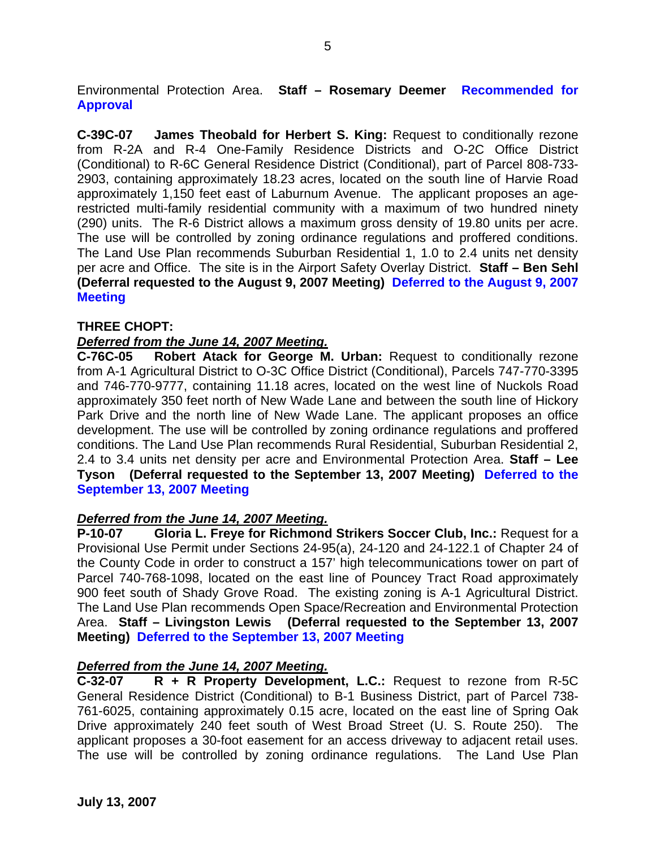Environmental Protection Area. **Staff – Rosemary Deemer Recommended for Approval**

**C-39C-07 James Theobald for Herbert S. King:** Request to conditionally rezone from R-2A and R-4 One-Family Residence Districts and O-2C Office District (Conditional) to R-6C General Residence District (Conditional), part of Parcel 808-733- 2903, containing approximately 18.23 acres, located on the south line of Harvie Road approximately 1,150 feet east of Laburnum Avenue. The applicant proposes an agerestricted multi-family residential community with a maximum of two hundred ninety (290) units. The R-6 District allows a maximum gross density of 19.80 units per acre. The use will be controlled by zoning ordinance regulations and proffered conditions. The Land Use Plan recommends Suburban Residential 1, 1.0 to 2.4 units net density per acre and Office. The site is in the Airport Safety Overlay District. **Staff – Ben Sehl (Deferral requested to the August 9, 2007 Meeting) Deferred to the August 9, 2007 Meeting**

### **THREE CHOPT:**

## *Deferred from the June 14, 2007 Meeting.*

**C-76C-05 Robert Atack for George M. Urban:** Request to conditionally rezone from A-1 Agricultural District to O-3C Office District (Conditional), Parcels 747-770-3395 and 746-770-9777, containing 11.18 acres, located on the west line of Nuckols Road approximately 350 feet north of New Wade Lane and between the south line of Hickory Park Drive and the north line of New Wade Lane. The applicant proposes an office development. The use will be controlled by zoning ordinance regulations and proffered conditions. The Land Use Plan recommends Rural Residential, Suburban Residential 2, 2.4 to 3.4 units net density per acre and Environmental Protection Area. **Staff – Lee Tyson (Deferral requested to the September 13, 2007 Meeting) Deferred to the September 13, 2007 Meeting**

### *Deferred from the June 14, 2007 Meeting.*

**P-10-07 Gloria L. Freye for Richmond Strikers Soccer Club, Inc.:** Request for a Provisional Use Permit under Sections 24-95(a), 24-120 and 24-122.1 of Chapter 24 of the County Code in order to construct a 157' high telecommunications tower on part of Parcel 740-768-1098, located on the east line of Pouncey Tract Road approximately 900 feet south of Shady Grove Road. The existing zoning is A-1 Agricultural District. The Land Use Plan recommends Open Space/Recreation and Environmental Protection Area. **Staff – Livingston Lewis (Deferral requested to the September 13, 2007 Meeting) Deferred to the September 13, 2007 Meeting**

### *Deferred from the June 14, 2007 Meeting.*

**C-32-07 R + R Property Development, L.C.:** Request to rezone from R-5C General Residence District (Conditional) to B-1 Business District, part of Parcel 738- 761-6025, containing approximately 0.15 acre, located on the east line of Spring Oak Drive approximately 240 feet south of West Broad Street (U. S. Route 250). The applicant proposes a 30-foot easement for an access driveway to adjacent retail uses. The use will be controlled by zoning ordinance regulations. The Land Use Plan